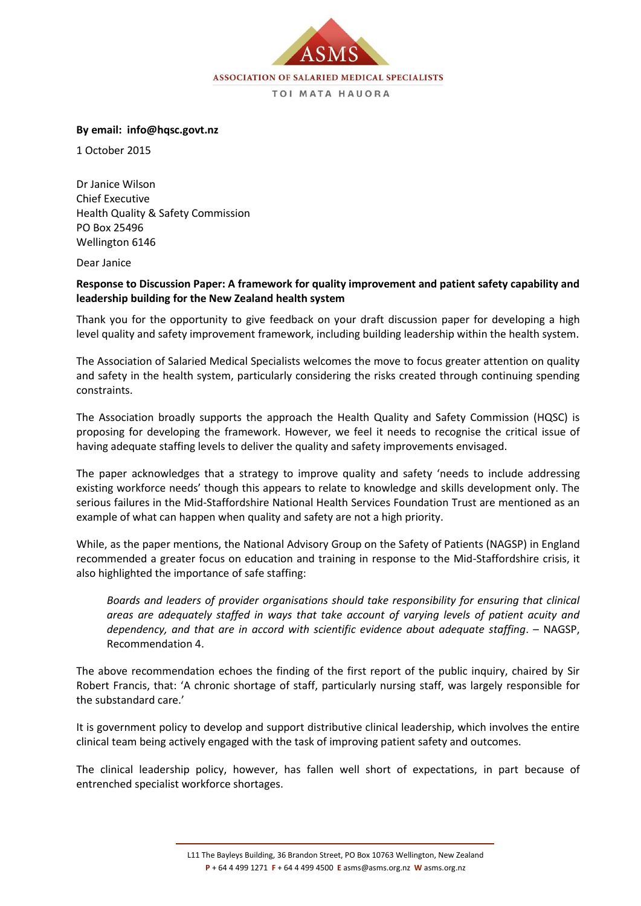

## **By email: info@hqsc.govt.nz**

1 October 2015

Dr Janice Wilson Chief Executive Health Quality & Safety Commission PO Box 25496 Wellington 6146

Dear Janice

## **Response to Discussion Paper: A framework for quality improvement and patient safety capability and leadership building for the New Zealand health system**

Thank you for the opportunity to give feedback on your draft discussion paper for developing a high level quality and safety improvement framework, including building leadership within the health system.

The Association of Salaried Medical Specialists welcomes the move to focus greater attention on quality and safety in the health system, particularly considering the risks created through continuing spending constraints.

The Association broadly supports the approach the Health Quality and Safety Commission (HQSC) is proposing for developing the framework. However, we feel it needs to recognise the critical issue of having adequate staffing levels to deliver the quality and safety improvements envisaged.

The paper acknowledges that a strategy to improve quality and safety 'needs to include addressing existing workforce needs' though this appears to relate to knowledge and skills development only. The serious failures in the Mid-Staffordshire National Health Services Foundation Trust are mentioned as an example of what can happen when quality and safety are not a high priority.

While, as the paper mentions, the National Advisory Group on the Safety of Patients (NAGSP) in England recommended a greater focus on education and training in response to the Mid-Staffordshire crisis, it also highlighted the importance of safe staffing:

*Boards and leaders of provider organisations should take responsibility for ensuring that clinical areas are adequately staffed in ways that take account of varying levels of patient acuity and dependency, and that are in accord with scientific evidence about adequate staffing*. – NAGSP, Recommendation 4.

The above recommendation echoes the finding of the first report of the public inquiry, chaired by Sir Robert Francis, that: 'A chronic shortage of staff, particularly nursing staff, was largely responsible for the substandard care.'

It is government policy to develop and support distributive clinical leadership, which involves the entire clinical team being actively engaged with the task of improving patient safety and outcomes.

The clinical leadership policy, however, has fallen well short of expectations, in part because of entrenched specialist workforce shortages.

L11 The Bayleys Building, 36 Brandon Street, PO Box 10763 Wellington, New Zealand **P** + 64 4 499 1271 **F** + 64 4 499 4500 **E** asms@asms.org.nz **W** asms.org.nz